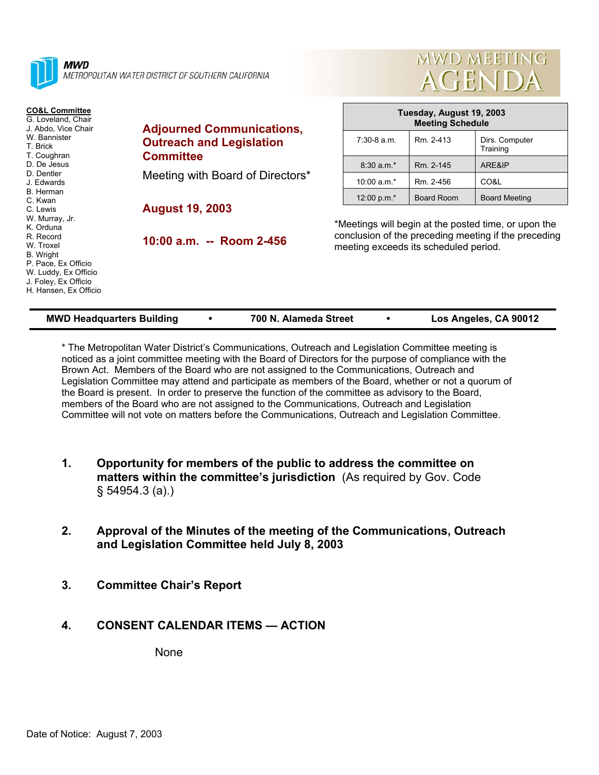

METROPOLITAN WATER DISTRICT OF SOUTHERN CALIFORNIA

#### **CO&L Committee**

G. Loveland, Chair J. Abdo, Vice Chair W. Bannister T. Brick T. Coughran D. De Jesus D. Dentler J. Edwards B. Herman C. Kwan C. Lewis W. Murray, Jr. K. Orduna R. Record W. Troxel B. Wright P. Pace, Ex Officio W. Luddy, Ex Officio J. Foley, Ex Officio H. Hansen, Ex Officio

#### **Adjourned Communications, Outreach and Legislation Committee**

Meeting with Board of Directors\*

# **August 19, 2003**

**10:00 a.m. -- Room 2-456** 

| Tuesday, August 19, 2003<br><b>Meeting Schedule</b> |                   |                            |  |  |  |
|-----------------------------------------------------|-------------------|----------------------------|--|--|--|
| $7:30-8$ a.m.                                       | Rm. 2-413         | Dirs. Computer<br>Training |  |  |  |
| $8:30 a.m.*$                                        | Rm. 2-145         | ARE&IP                     |  |  |  |
| 10:00 $a.m.*$                                       | Rm. 2-456         | CO&L                       |  |  |  |
| 12:00 p.m. $*$                                      | <b>Board Room</b> | <b>Board Meeting</b>       |  |  |  |

MWD MEETING

**AGENDA** 

\*Meetings will begin at the posted time, or upon the conclusion of the preceding meeting if the preceding meeting exceeds its scheduled period.

| <b>MWD Headquarters Building</b> | 700 N. Alameda Street | Los Angeles, CA 90012 |
|----------------------------------|-----------------------|-----------------------|

\* The Metropolitan Water District's Communications, Outreach and Legislation Committee meeting is noticed as a joint committee meeting with the Board of Directors for the purpose of compliance with the Brown Act. Members of the Board who are not assigned to the Communications, Outreach and Legislation Committee may attend and participate as members of the Board, whether or not a quorum of the Board is present. In order to preserve the function of the committee as advisory to the Board, members of the Board who are not assigned to the Communications, Outreach and Legislation Committee will not vote on matters before the Communications, Outreach and Legislation Committee.

- **1. Opportunity for members of the public to address the committee on matters within the committee's jurisdiction** (As required by Gov. Code § 54954.3 (a).)
- **2. Approval of the Minutes of the meeting of the Communications, Outreach and Legislation Committee held July 8, 2003**
- **3. Committee Chair's Report**

### **4. CONSENT CALENDAR ITEMS — ACTION**

None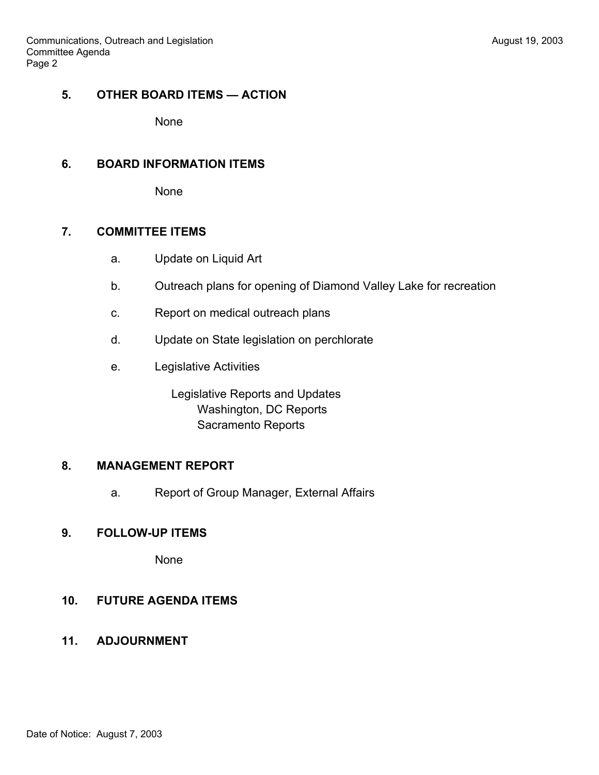### **5. OTHER BOARD ITEMS — ACTION**

None

#### **6. BOARD INFORMATION ITEMS**

None

### **7. COMMITTEE ITEMS**

- a. Update on Liquid Art
- b. Outreach plans for opening of Diamond Valley Lake for recreation
- c. Report on medical outreach plans
- d. Update on State legislation on perchlorate
- e. Legislative Activities

 Legislative Reports and Updates Washington, DC Reports Sacramento Reports

# **8. MANAGEMENT REPORT**

a. Report of Group Manager, External Affairs

# **9. FOLLOW-UP ITEMS**

None

# **10. FUTURE AGENDA ITEMS**

**11. ADJOURNMENT**